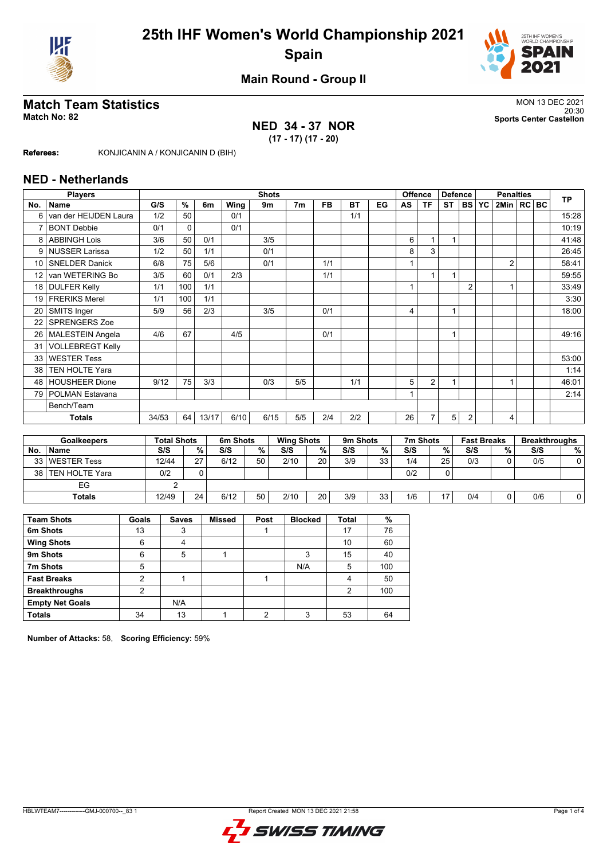



**Main Round - Group II**

## **Match Team Statistics** MON 13 DEC 2021

## **NED 34 - 37 NOR (17 - 17) (17 - 20)**

20:30 **Match No: 82 Sports Center Castellon**

**Referees:** KONJICANIN A / KONJICANIN D (BIH)

#### **NED - Netherlands**

|           | <b>Players</b>                           |       | <b>Shots</b> |                               |      |                |                |     |                  |           |                           |     | Offence            | <b>Defence</b> |                      | <b>Penalties</b> |                  |  |     | <b>TP</b>                 |
|-----------|------------------------------------------|-------|--------------|-------------------------------|------|----------------|----------------|-----|------------------|-----------|---------------------------|-----|--------------------|----------------|----------------------|------------------|------------------|--|-----|---------------------------|
| No.       | <b>Name</b>                              | G/S   | %            | 6m                            | Wing | 9 <sub>m</sub> | 7 <sub>m</sub> |     | <b>FB</b>        | <b>BT</b> | EG                        | AS  | <b>TF</b>          | <b>ST</b>      | <b>BS</b>            | YC               | 2Min   RC   BC   |  |     |                           |
| 6         | van der HEIJDEN Laura                    | 1/2   | 50           |                               | 0/1  |                |                |     |                  | 1/1       |                           |     |                    |                |                      |                  |                  |  |     | 15:28                     |
| 7         | <b>BONT Debbie</b>                       | 0/1   | 0            |                               | 0/1  |                |                |     |                  |           |                           |     |                    |                |                      |                  |                  |  |     | 10:19                     |
| 8         | <b>ABBINGH Lois</b>                      | 3/6   | 50           | 0/1                           |      | 3/5            |                |     |                  |           |                           | 6   |                    | 1              |                      |                  |                  |  |     | 41:48                     |
| 9         | <b>NUSSER Larissa</b>                    | 1/2   | 50           | 1/1                           |      | 0/1            |                |     |                  |           |                           | 8   | 3                  |                |                      |                  |                  |  |     | 26:45                     |
| 10        | <b>SNELDER Danick</b>                    | 6/8   | 75           | 5/6                           |      | 0/1            |                |     | 1/1              |           |                           | 4   |                    |                |                      |                  | $\overline{2}$   |  |     | 58:41                     |
| 12        | van WETERING Bo                          | 3/5   | 60           | 0/1                           | 2/3  |                |                |     | 1/1              |           |                           |     |                    | $\overline{1}$ |                      |                  |                  |  |     | 59:55                     |
| 18        | <b>DULFER Kelly</b>                      | 1/1   | 100          | 1/1                           |      |                |                |     |                  |           |                           |     |                    |                | $\overline{2}$       |                  |                  |  |     | 33:49                     |
| 19        | <b>FRERIKS Merel</b>                     | 1/1   | 100          | 1/1                           |      |                |                |     |                  |           |                           |     |                    |                |                      |                  |                  |  |     | 3:30                      |
| 20        | SMITS Inger                              | 5/9   | 56           | 2/3                           |      | 3/5            |                |     | 0/1              |           |                           | 4   |                    | 1              |                      |                  |                  |  |     | 18:00                     |
| 22        | <b>SPRENGERS Zoe</b>                     |       |              |                               |      |                |                |     |                  |           |                           |     |                    |                |                      |                  |                  |  |     |                           |
| 26        | <b>MALESTEIN Angela</b>                  | 4/6   | 67           |                               | 4/5  |                |                |     | 0/1              |           |                           |     |                    | 1              |                      |                  |                  |  |     | 49:16                     |
| 31        | <b>VOLLEBREGT Kelly</b>                  |       |              |                               |      |                |                |     |                  |           |                           |     |                    |                |                      |                  |                  |  |     |                           |
| 33        | <b>WESTER Tess</b>                       |       |              |                               |      |                |                |     |                  |           |                           |     |                    |                |                      |                  |                  |  |     | 53:00                     |
| 38        | <b>TEN HOLTE Yara</b>                    |       |              |                               |      |                |                |     |                  |           |                           |     |                    |                |                      |                  |                  |  |     | 1:14                      |
| 48        | <b>HOUSHEER Dione</b>                    | 9/12  | 75           | 3/3                           |      | 0/3            |                | 5/5 |                  | 1/1       |                           | 5   | $\overline{2}$     | 1              |                      |                  |                  |  |     | 46:01                     |
| 79        | POLMAN Estavana                          |       |              |                               |      |                |                |     |                  |           |                           |     |                    |                |                      |                  |                  |  |     | 2:14                      |
|           | Bench/Team                               |       |              |                               |      |                |                |     |                  |           |                           |     |                    |                |                      |                  |                  |  |     |                           |
|           | <b>Totals</b>                            | 34/53 | 64           | 13/17                         | 6/10 |                | 6/15           | 5/5 | 2/4              | 2/2       |                           | 26  | $\overline{7}$     | 5              | $\overline{2}$       |                  | 4                |  |     |                           |
|           |                                          |       |              |                               |      |                |                |     |                  |           |                           |     |                    |                |                      |                  |                  |  |     |                           |
|           | <b>Total Shots</b><br><b>Goalkeepers</b> |       | 6m Shots     | 9m Shots<br><b>Wing Shots</b> |      |                |                |     |                  | 7m Shots  |                           |     | <b>Fast Breaks</b> |                | <b>Breakthroughs</b> |                  |                  |  |     |                           |
| <b>No</b> | <b>Name</b>                              | S/S   |              | $O_{\Lambda}$                 | S/S  | $O_{\Lambda}$  | S/S            |     | $O_{\mathbb{A}}$ | S/S       | $\mathbf{O}_{\mathbf{A}}$ | S/S |                    | $O_{\alpha}$   | S/S                  |                  | $O_{\mathbb{A}}$ |  | S/S | $\mathbf{O}_{\mathbf{A}}$ |

| No.  | <b>Name</b>           | S/S   | %         | S/S  | %  | S/S  | %  | S/S | %  | S/S | %  | S/S | % | S/S | %। |
|------|-----------------------|-------|-----------|------|----|------|----|-----|----|-----|----|-----|---|-----|----|
|      | 33 WESTER Tess        | 12/44 | 27<br>ے ا | 6/12 | 50 | 2/10 | 20 | 3/9 | 33 | 1/4 | 25 | 0/3 |   | 0/5 |    |
| 38 I | <b>TEN HOLTE Yara</b> | 0/2   |           |      |    |      |    |     |    | 0/2 | ∩  |     |   |     |    |
|      | EG                    |       |           |      |    |      |    |     |    |     |    |     |   |     |    |
|      | <b>Totals</b>         | 12/49 | 24        | 6/12 | 50 | 2/10 | 20 | 3/9 | 33 | 1/6 | 17 | 0/4 |   | 0/6 |    |
|      |                       |       |           |      |    |      |    |     |    |     |    |     |   |     |    |

| <b>Team Shots</b>      | Goals | <b>Saves</b> | <b>Missed</b> | Post | <b>Blocked</b> | <b>Total</b>   | %   |
|------------------------|-------|--------------|---------------|------|----------------|----------------|-----|
| 6m Shots               | 13    | 3            |               |      |                | 17             | 76  |
| <b>Wing Shots</b>      | 6     | 4            |               |      |                | 10             | 60  |
| 9m Shots               | 6     | 5            |               |      | 3              | 15             | 40  |
| 7m Shots               | 5     |              |               |      | N/A            | 5              | 100 |
| <b>Fast Breaks</b>     | າ     |              |               |      |                | 4              | 50  |
| <b>Breakthroughs</b>   | 2     |              |               |      |                | $\overline{2}$ | 100 |
| <b>Empty Net Goals</b> |       | N/A          |               |      |                |                |     |
| <b>Totals</b>          | 34    | 13           |               | ◠    | 3              | 53             | 64  |

**Number of Attacks:** 58, **Scoring Efficiency:** 59%

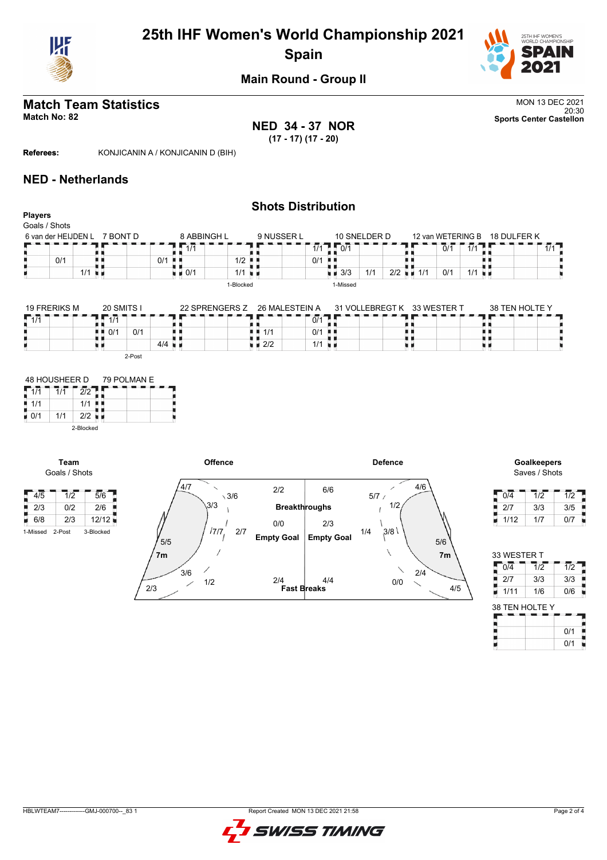

# **25th IHF Women's World Championship 2021 Spain**



**Main Round - Group II**

# **Match Team Statistics** MON 13 DEC 2021

20:30 **Match No: 82 Sports Center Castellon NED 34 - 37 NOR (17 - 17) (17 - 20)**

**Referees:** KONJICANIN A / KONJICANIN D (BIH)

#### **NED - Netherlands**

#### **Shots Distribution Players** Goals / Shots 8 ABBINGH L  $9$  NUSSER L 10 SNELDER D 6 van der HEIJDEN L 7 BONT D 12 van WETERING B 18 DULFER K  $1/1$  $1/1$ 1 1/1 D 1 0/1  $0/1$  1/1 89, A Q A R  $\frac{1}{2}$ <br> $\frac{1}{2}$ <br> $\frac{1}{2}$ <br> $\frac{1}{2}$ 0/1 H 机机 . .  $\sqrt{0/1}$  $\vert$  0/1  $2/2$  1/1 0/1 1/1  $1/1$  $10/1$  1/1  $\blacksquare$  3/3 1/1 2/2 1-Blocked 1-Missed

| <b>19 FRERIKS M</b> | 20 SMITS I          | 22 SPRENGERS Z       | 26 MALESTEIN A            | 31 VOLLEBREGT K | 33 WESTER T | 38 TEN HOLTE Y |
|---------------------|---------------------|----------------------|---------------------------|-----------------|-------------|----------------|
| 1/1                 | 11'<br>$\mathbf{L}$ |                      | 0/1                       |                 |             |                |
|                     | 0/1<br>0/2          |                      | 0/1<br>$\blacksquare$ 1/1 | . .             |             |                |
|                     |                     | $4/4$ $\blacksquare$ | $\blacksquare$ 2/2        | 1/1             |             |                |
|                     | 2-Post              |                      |                           |                 |             |                |

| 48 HOUSHEER D |     |           | 79 POLMAN E |
|---------------|-----|-----------|-------------|
| 1/1           | 1/1 | 2/2       |             |
| 1/1           |     | 1/1       |             |
| 0/1           | 1/1 | 2/2       |             |
|               |     | 2-Blocked |             |

**Team**



Saves / Shots

| 0/4  | 1/2 | 1/2 |
|------|-----|-----|
| 2/7  | 3/3 | 3/5 |
| 1/12 | 1/7 | 0/7 |

| 33 WESTER T      |                  |                  |
|------------------|------------------|------------------|
| $\overline{0/4}$ | $\overline{1/2}$ | $\overline{1/2}$ |
| j<br>2/7         | 3/3              | 3/3              |
| 1/11             | 1/6              | 0/6              |
| 38 TEN HOLTE Y   |                  |                  |
|                  |                  |                  |
|                  |                  | 0/1              |

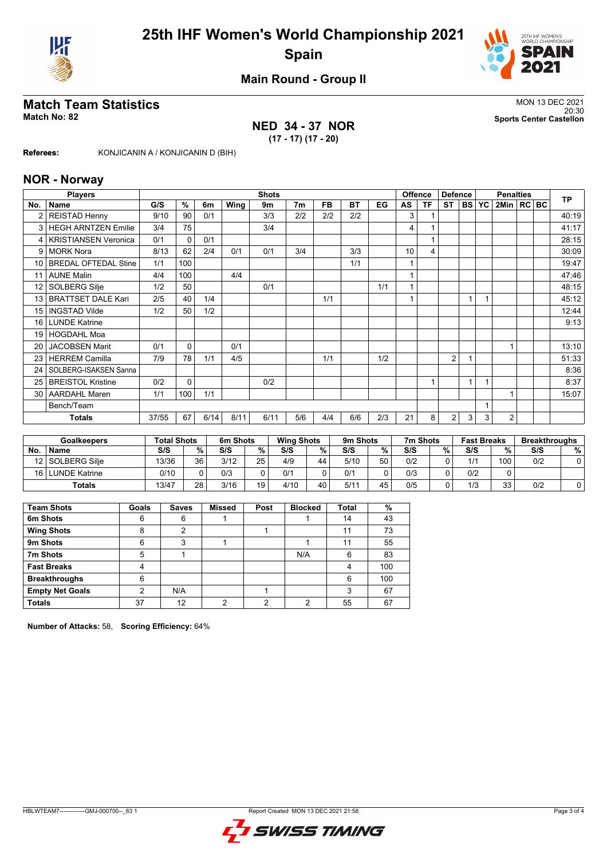



## **Main Round - Group II**

## **Match Team Statistics** MON 13 DEC 2021

## **NED 34 - 37 NOR (17 - 17) (17 - 20)**

20:30 **Match No: 82 Sports Center Castellon**

**Referees:** KONJICANIN A / KONJICANIN D (BIH)

#### **NOR - Norway**

|                 | <b>Players</b>              |       | <b>Shots</b> |      |      |      |                |           |           |     |    | <b>Offence</b><br><b>Defence</b> |                |           | <b>Penalties</b> |                |  |  | <b>TP</b> |
|-----------------|-----------------------------|-------|--------------|------|------|------|----------------|-----------|-----------|-----|----|----------------------------------|----------------|-----------|------------------|----------------|--|--|-----------|
| No.             | Name                        | G/S   | %            | 6m   | Wing | 9m   | 7 <sub>m</sub> | <b>FB</b> | <b>BT</b> | EG  | AS | <b>TF</b>                        | <b>ST</b>      | <b>BS</b> | <b>YC</b>        | 2Min   RC   BC |  |  |           |
| $\overline{2}$  | <b>REISTAD Henny</b>        | 9/10  | 90           | 0/1  |      | 3/3  | 2/2            | 2/2       | 2/2       |     | 3  |                                  |                |           |                  |                |  |  | 40:19     |
| 3               | <b>HEGH ARNTZEN Emilie</b>  | 3/4   | 75           |      |      | 3/4  |                |           |           |     | 4  |                                  |                |           |                  |                |  |  | 41:17     |
| 4               | <b>KRISTIANSEN Veronica</b> | 0/1   | $\mathbf{0}$ | 0/1  |      |      |                |           |           |     |    |                                  |                |           |                  |                |  |  | 28:15     |
| 9               | <b>MORK Nora</b>            | 8/13  | 62           | 2/4  | 0/1  | 0/1  | 3/4            |           | 3/3       |     | 10 | 4                                |                |           |                  |                |  |  | 30:09     |
| 10 <sup>1</sup> | <b>BREDAL OFTEDAL Stine</b> | 1/1   | 100          |      |      |      |                |           | 1/1       |     |    |                                  |                |           |                  |                |  |  | 19:47     |
| 11              | <b>AUNE Malin</b>           | 4/4   | 100          |      | 4/4  |      |                |           |           |     |    |                                  |                |           |                  |                |  |  | 47:46     |
| 12 <sup>°</sup> | <b>SOLBERG Silje</b>        | 1/2   | 50           |      |      | 0/1  |                |           |           | 1/1 |    |                                  |                |           |                  |                |  |  | 48:15     |
| 13              | <b>BRATTSET DALE Kari</b>   | 2/5   | 40           | 1/4  |      |      |                | 1/1       |           |     |    |                                  |                |           |                  |                |  |  | 45:12     |
| 15              | <b>INGSTAD Vilde</b>        | 1/2   | 50           | 1/2  |      |      |                |           |           |     |    |                                  |                |           |                  |                |  |  | 12:44     |
| 16 <sup>1</sup> | <b>LUNDE Katrine</b>        |       |              |      |      |      |                |           |           |     |    |                                  |                |           |                  |                |  |  | 9:13      |
| 19              | <b>HOGDAHL Moa</b>          |       |              |      |      |      |                |           |           |     |    |                                  |                |           |                  |                |  |  |           |
| 20              | <b>JACOBSEN Marit</b>       | 0/1   | $\Omega$     |      | 0/1  |      |                |           |           |     |    |                                  |                |           |                  |                |  |  | 13:10     |
| 23 <sub>1</sub> | <b>HERREM Camilla</b>       | 7/9   | 78           | 1/1  | 4/5  |      |                | 1/1       |           | 1/2 |    |                                  | $\overline{2}$ |           |                  |                |  |  | 51:33     |
| 24              | SOLBERG-ISAKSEN Sanna       |       |              |      |      |      |                |           |           |     |    |                                  |                |           |                  |                |  |  | 8:36      |
| 25 <sub>1</sub> | <b>BREISTOL Kristine</b>    | 0/2   | $\Omega$     |      |      | 0/2  |                |           |           |     |    |                                  |                |           |                  |                |  |  | 8:37      |
|                 | 30   AARDAHL Maren          | 1/1   | 100          | 1/1  |      |      |                |           |           |     |    |                                  |                |           |                  |                |  |  | 15:07     |
|                 | Bench/Team                  |       |              |      |      |      |                |           |           |     |    |                                  |                |           | 1                |                |  |  |           |
|                 | <b>Totals</b>               | 37/55 | 67           | 6/14 | 8/11 | 6/11 | 5/6            | 4/4       | 6/6       | 2/3 | 21 | 8                                | 2              | 3         | 3                | 2              |  |  |           |

|           | <b>Goalkeepers</b>   | <b>Total Shots</b> |        | 6m Shots |    | <b>Wing Shots</b> |    | 9m Shots |    | 7m Shots |   | <b>Fast Breaks</b> |     | <b>Breakthroughs</b> |   |
|-----------|----------------------|--------------------|--------|----------|----|-------------------|----|----------|----|----------|---|--------------------|-----|----------------------|---|
| <b>No</b> | <b>Name</b>          | S/S                | $\%$ . | S/S      | %  | S/S               | %  | S/S      | %  | S/S      | % | S/S                | %   | S/S                  | % |
|           | 12 SOLBERG Silie     | 13/36              | 36     | 3/12     | 25 | 4/9               | 44 | 5/10     | 50 | 0/2      |   | 1/1                | 100 | 0/2                  |   |
| 16 I L    | <b>LUNDE Katrine</b> | 0/10               |        | 0/3      |    | 0/1               |    | 0/1      |    | 0/3      |   | 0/2                |     |                      |   |
|           | Totals               | 13/47              | 28     | 3/16     | 19 | 4/10              | 40 | 5/1'     | 45 | 0/5      |   | 1/3                | 33  | 0/2                  |   |

| <b>Team Shots</b>      | Goals | <b>Saves</b> | <b>Missed</b> | Post | <b>Blocked</b> | Total | %   |
|------------------------|-------|--------------|---------------|------|----------------|-------|-----|
| 6m Shots               | 6     | 6            |               |      |                | 14    | 43  |
| <b>Wing Shots</b>      | 8     | 2            |               |      |                | 11    | 73  |
| 9m Shots               | 6     | 3            |               |      |                | 11    | 55  |
| 7m Shots               | 5     |              |               |      | N/A            | 6     | 83  |
| <b>Fast Breaks</b>     | 4     |              |               |      |                |       | 100 |
| <b>Breakthroughs</b>   | 6     |              |               |      |                | 6     | 100 |
| <b>Empty Net Goals</b> | 2     | N/A          |               |      |                | 3     | 67  |
| <b>Totals</b>          | 37    | 12           | ∩             | റ    | ⌒              | 55    | 67  |

**Number of Attacks:** 58, **Scoring Efficiency:** 64%